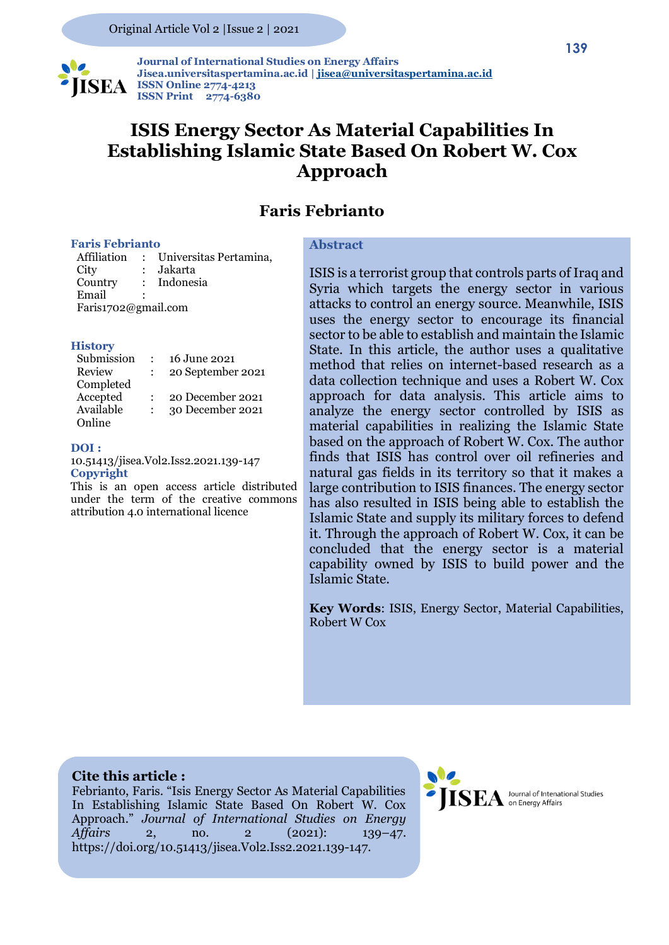

 **Journal of International Studies on Energy Affairs Jisea.universitaspertamina.ac.id [| jisea@universitaspertamina.ac.id](mailto:jisea@universitaspertamina.ac.id) ISSN Online 2774-4213 ISSN Print 2774-6380**

# **ISIS Energy Sector As Material Capabilities In Establishing Islamic State Based On Robert W. Cox Approach**

### **Faris Febrianto**

#### **Faris Febrianto**

Affiliation : Universitas Pertamina, City : Jakarta Country : Indonesia Email Faris1702@gmail.com

#### **History**

| Submission | 16 June 2021      |
|------------|-------------------|
| Review     | 20 September 2021 |
| Completed  |                   |
| Accepted   | 20 December 2021  |
| Available  | 30 December 2021  |
| Online     |                   |

### **DOI :**

10.51413/jisea.Vol2.Iss2.2021.139-147 **Copyright** 

This is an open access article distributed under the term of the creative commons attribution 4.0 international licence

### **Abstract**

ISIS is a terrorist group that controls parts of Iraq and Syria which targets the energy sector in various attacks to control an energy source. Meanwhile, ISIS uses the energy sector to encourage its financial sector to be able to establish and maintain the Islamic State. In this article, the author uses a qualitative method that relies on internet-based research as a data collection technique and uses a Robert W. Cox approach for data analysis. This article aims to analyze the energy sector controlled by ISIS as material capabilities in realizing the Islamic State based on the approach of Robert W. Cox. The author finds that ISIS has control over oil refineries and natural gas fields in its territory so that it makes a large contribution to ISIS finances. The energy sector has also resulted in ISIS being able to establish the Islamic State and supply its military forces to defend it. Through the approach of Robert W. Cox, it can be concluded that the energy sector is a material capability owned by ISIS to build power and the Islamic State.

**Key Words**: ISIS, Energy Sector, Material Capabilities, Robert W Cox

### **Cite this article :**

Febrianto, Faris. "Isis Energy Sector As Material Capabilities In Establishing Islamic State Based On Robert W. Cox Approach." *Journal of International Studies on Energy Affairs* 2, no. 2 (2021): 139–47. https://doi.org/10.51413/jisea.Vol2.Iss2.2021.139-147.

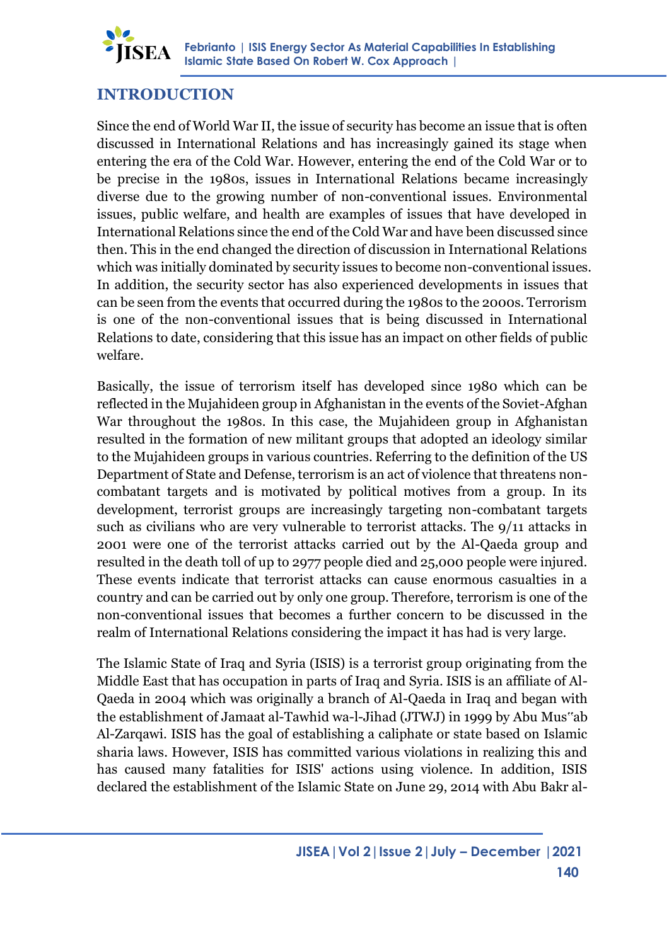

### **INTRODUCTION**

Since the end of World War II, the issue of security has become an issue that is often discussed in International Relations and has increasingly gained its stage when entering the era of the Cold War. However, entering the end of the Cold War or to be precise in the 1980s, issues in International Relations became increasingly diverse due to the growing number of non-conventional issues. Environmental issues, public welfare, and health are examples of issues that have developed in International Relations since the end of the Cold War and have been discussed since then. This in the end changed the direction of discussion in International Relations which was initially dominated by security issues to become non-conventional issues. In addition, the security sector has also experienced developments in issues that can be seen from the events that occurred during the 1980s to the 2000s. Terrorism is one of the non-conventional issues that is being discussed in International Relations to date, considering that this issue has an impact on other fields of public welfare.

Basically, the issue of terrorism itself has developed since 1980 which can be reflected in the Mujahideen group in Afghanistan in the events of the Soviet-Afghan War throughout the 1980s. In this case, the Mujahideen group in Afghanistan resulted in the formation of new militant groups that adopted an ideology similar to the Mujahideen groups in various countries. Referring to the definition of the US Department of State and Defense, terrorism is an act of violence that threatens noncombatant targets and is motivated by political motives from a group. In its development, terrorist groups are increasingly targeting non-combatant targets such as civilians who are very vulnerable to terrorist attacks. The 9/11 attacks in 2001 were one of the terrorist attacks carried out by the Al-Qaeda group and resulted in the death toll of up to 2977 people died and 25,000 people were injured. These events indicate that terrorist attacks can cause enormous casualties in a country and can be carried out by only one group. Therefore, terrorism is one of the non-conventional issues that becomes a further concern to be discussed in the realm of International Relations considering the impact it has had is very large.

The Islamic State of Iraq and Syria (ISIS) is a terrorist group originating from the Middle East that has occupation in parts of Iraq and Syria. ISIS is an affiliate of Al-Qaeda in 2004 which was originally a branch of Al-Qaeda in Iraq and began with the establishment of Jamaat al-Tawhid wa-l-Jihad (JTWJ) in 1999 by Abu Mus"ab Al-Zarqawi. ISIS has the goal of establishing a caliphate or state based on Islamic sharia laws. However, ISIS has committed various violations in realizing this and has caused many fatalities for ISIS' actions using violence. In addition, ISIS declared the establishment of the Islamic State on June 29, 2014 with Abu Bakr al-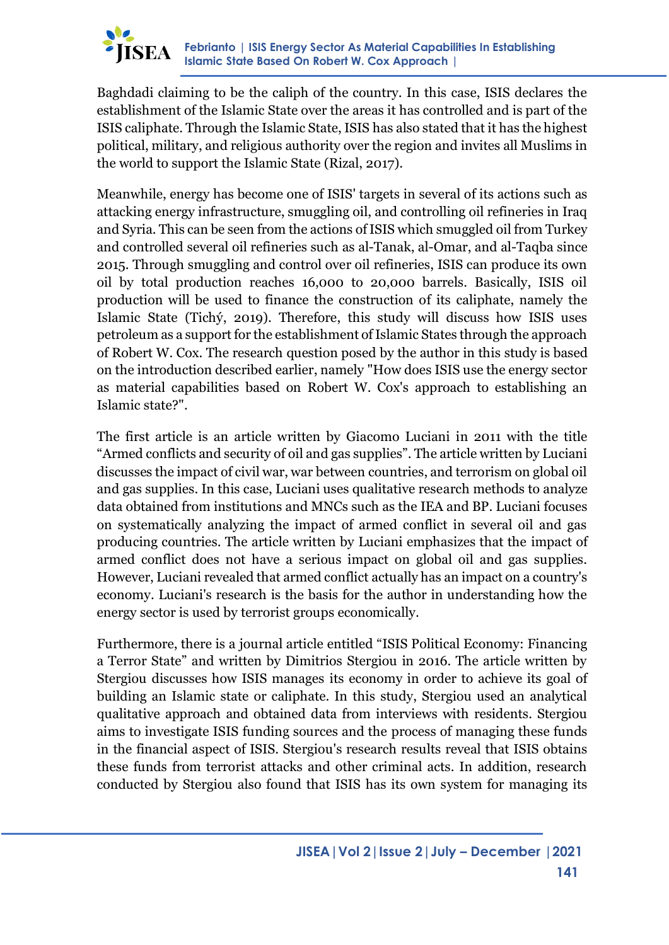

Baghdadi claiming to be the caliph of the country. In this case, ISIS declares the establishment of the Islamic State over the areas it has controlled and is part of the ISIS caliphate. Through the Islamic State, ISIS has also stated that it has the highest political, military, and religious authority over the region and invites all Muslims in the world to support the Islamic State (Rizal, 2017).

Meanwhile, energy has become one of ISIS' targets in several of its actions such as attacking energy infrastructure, smuggling oil, and controlling oil refineries in Iraq and Syria. This can be seen from the actions of ISIS which smuggled oil from Turkey and controlled several oil refineries such as al-Tanak, al-Omar, and al-Taqba since 2015. Through smuggling and control over oil refineries, ISIS can produce its own oil by total production reaches 16,000 to 20,000 barrels. Basically, ISIS oil production will be used to finance the construction of its caliphate, namely the Islamic State (Tichý, 2019). Therefore, this study will discuss how ISIS uses petroleum as a support for the establishment of Islamic States through the approach of Robert W. Cox. The research question posed by the author in this study is based on the introduction described earlier, namely "How does ISIS use the energy sector as material capabilities based on Robert W. Cox's approach to establishing an Islamic state?".

The first article is an article written by Giacomo Luciani in 2011 with the title "Armed conflicts and security of oil and gas supplies". The article written by Luciani discusses the impact of civil war, war between countries, and terrorism on global oil and gas supplies. In this case, Luciani uses qualitative research methods to analyze data obtained from institutions and MNCs such as the IEA and BP. Luciani focuses on systematically analyzing the impact of armed conflict in several oil and gas producing countries. The article written by Luciani emphasizes that the impact of armed conflict does not have a serious impact on global oil and gas supplies. However, Luciani revealed that armed conflict actually has an impact on a country's economy. Luciani's research is the basis for the author in understanding how the energy sector is used by terrorist groups economically.

Furthermore, there is a journal article entitled "ISIS Political Economy: Financing a Terror State" and written by Dimitrios Stergiou in 2016. The article written by Stergiou discusses how ISIS manages its economy in order to achieve its goal of building an Islamic state or caliphate. In this study, Stergiou used an analytical qualitative approach and obtained data from interviews with residents. Stergiou aims to investigate ISIS funding sources and the process of managing these funds in the financial aspect of ISIS. Stergiou's research results reveal that ISIS obtains these funds from terrorist attacks and other criminal acts. In addition, research conducted by Stergiou also found that ISIS has its own system for managing its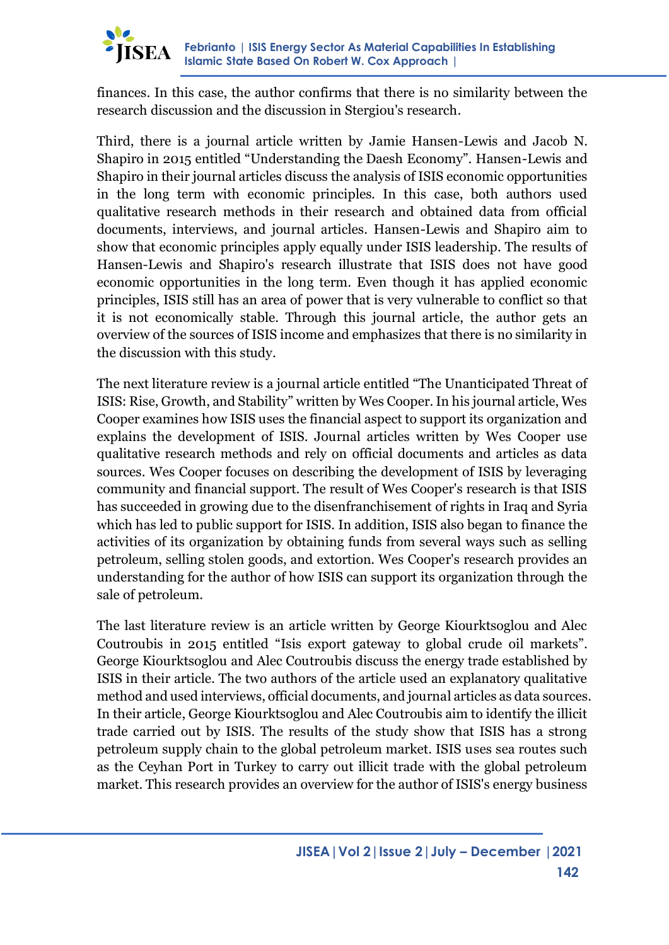

finances. In this case, the author confirms that there is no similarity between the research discussion and the discussion in Stergiou's research.

Third, there is a journal article written by Jamie Hansen-Lewis and Jacob N. Shapiro in 2015 entitled "Understanding the Daesh Economy". Hansen-Lewis and Shapiro in their journal articles discuss the analysis of ISIS economic opportunities in the long term with economic principles. In this case, both authors used qualitative research methods in their research and obtained data from official documents, interviews, and journal articles. Hansen-Lewis and Shapiro aim to show that economic principles apply equally under ISIS leadership. The results of Hansen-Lewis and Shapiro's research illustrate that ISIS does not have good economic opportunities in the long term. Even though it has applied economic principles, ISIS still has an area of power that is very vulnerable to conflict so that it is not economically stable. Through this journal article, the author gets an overview of the sources of ISIS income and emphasizes that there is no similarity in the discussion with this study.

The next literature review is a journal article entitled "The Unanticipated Threat of ISIS: Rise, Growth, and Stability" written by Wes Cooper. In his journal article, Wes Cooper examines how ISIS uses the financial aspect to support its organization and explains the development of ISIS. Journal articles written by Wes Cooper use qualitative research methods and rely on official documents and articles as data sources. Wes Cooper focuses on describing the development of ISIS by leveraging community and financial support. The result of Wes Cooper's research is that ISIS has succeeded in growing due to the disenfranchisement of rights in Iraq and Syria which has led to public support for ISIS. In addition, ISIS also began to finance the activities of its organization by obtaining funds from several ways such as selling petroleum, selling stolen goods, and extortion. Wes Cooper's research provides an understanding for the author of how ISIS can support its organization through the sale of petroleum.

The last literature review is an article written by George Kiourktsoglou and Alec Coutroubis in 2015 entitled "Isis export gateway to global crude oil markets". George Kiourktsoglou and Alec Coutroubis discuss the energy trade established by ISIS in their article. The two authors of the article used an explanatory qualitative method and used interviews, official documents, and journal articles as data sources. In their article, George Kiourktsoglou and Alec Coutroubis aim to identify the illicit trade carried out by ISIS. The results of the study show that ISIS has a strong petroleum supply chain to the global petroleum market. ISIS uses sea routes such as the Ceyhan Port in Turkey to carry out illicit trade with the global petroleum market. This research provides an overview for the author of ISIS's energy business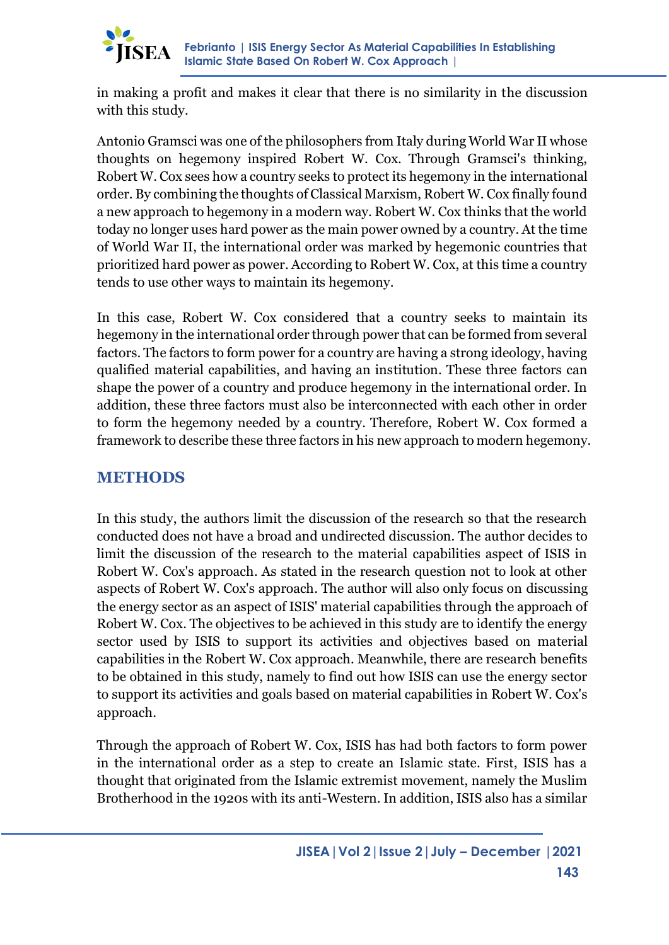

in making a profit and makes it clear that there is no similarity in the discussion with this study.

Antonio Gramsci was one of the philosophers from Italy during World War II whose thoughts on hegemony inspired Robert W. Cox. Through Gramsci's thinking, Robert W. Cox sees how a country seeks to protect its hegemony in the international order. By combining the thoughts of Classical Marxism, Robert W. Cox finally found a new approach to hegemony in a modern way. Robert W. Cox thinks that the world today no longer uses hard power as the main power owned by a country. At the time of World War II, the international order was marked by hegemonic countries that prioritized hard power as power. According to Robert W. Cox, at this time a country tends to use other ways to maintain its hegemony.

In this case, Robert W. Cox considered that a country seeks to maintain its hegemony in the international order through power that can be formed from several factors. The factors to form power for a country are having a strong ideology, having qualified material capabilities, and having an institution. These three factors can shape the power of a country and produce hegemony in the international order. In addition, these three factors must also be interconnected with each other in order to form the hegemony needed by a country. Therefore, Robert W. Cox formed a framework to describe these three factors in his new approach to modern hegemony.

## **METHODS**

In this study, the authors limit the discussion of the research so that the research conducted does not have a broad and undirected discussion. The author decides to limit the discussion of the research to the material capabilities aspect of ISIS in Robert W. Cox's approach. As stated in the research question not to look at other aspects of Robert W. Cox's approach. The author will also only focus on discussing the energy sector as an aspect of ISIS' material capabilities through the approach of Robert W. Cox. The objectives to be achieved in this study are to identify the energy sector used by ISIS to support its activities and objectives based on material capabilities in the Robert W. Cox approach. Meanwhile, there are research benefits to be obtained in this study, namely to find out how ISIS can use the energy sector to support its activities and goals based on material capabilities in Robert W. Cox's approach.

Through the approach of Robert W. Cox, ISIS has had both factors to form power in the international order as a step to create an Islamic state. First, ISIS has a thought that originated from the Islamic extremist movement, namely the Muslim Brotherhood in the 1920s with its anti-Western. In addition, ISIS also has a similar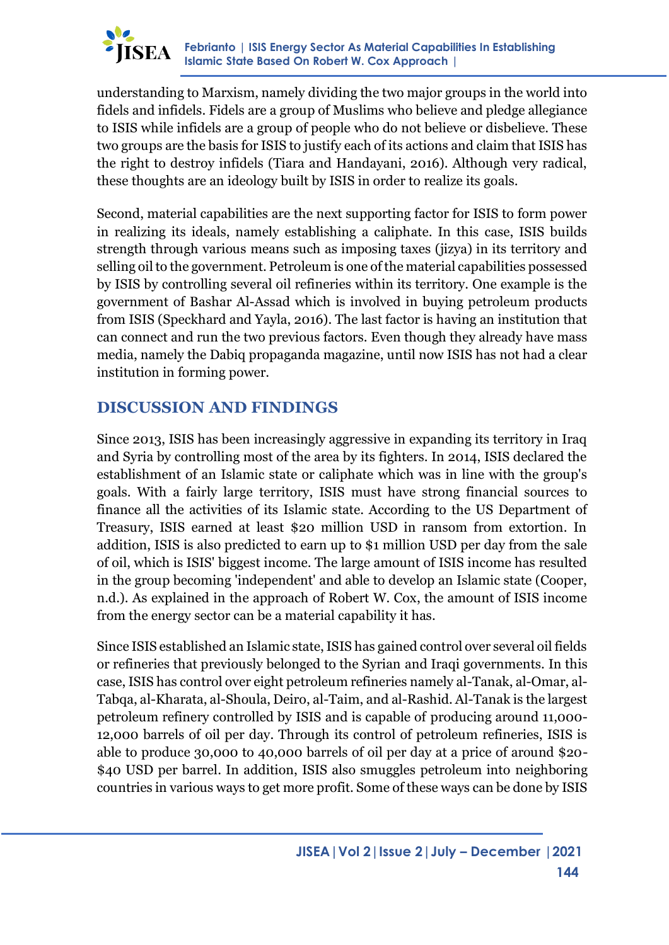

understanding to Marxism, namely dividing the two major groups in the world into fidels and infidels. Fidels are a group of Muslims who believe and pledge allegiance to ISIS while infidels are a group of people who do not believe or disbelieve. These two groups are the basis for ISIS to justify each of its actions and claim that ISIS has the right to destroy infidels (Tiara and Handayani, 2016). Although very radical, these thoughts are an ideology built by ISIS in order to realize its goals.

Second, material capabilities are the next supporting factor for ISIS to form power in realizing its ideals, namely establishing a caliphate. In this case, ISIS builds strength through various means such as imposing taxes (jizya) in its territory and selling oil to the government. Petroleum is one of the material capabilities possessed by ISIS by controlling several oil refineries within its territory. One example is the government of Bashar Al-Assad which is involved in buying petroleum products from ISIS (Speckhard and Yayla, 2016). The last factor is having an institution that can connect and run the two previous factors. Even though they already have mass media, namely the Dabiq propaganda magazine, until now ISIS has not had a clear institution in forming power.

## **DISCUSSION AND FINDINGS**

Since 2013, ISIS has been increasingly aggressive in expanding its territory in Iraq and Syria by controlling most of the area by its fighters. In 2014, ISIS declared the establishment of an Islamic state or caliphate which was in line with the group's goals. With a fairly large territory, ISIS must have strong financial sources to finance all the activities of its Islamic state. According to the US Department of Treasury, ISIS earned at least \$20 million USD in ransom from extortion. In addition, ISIS is also predicted to earn up to \$1 million USD per day from the sale of oil, which is ISIS' biggest income. The large amount of ISIS income has resulted in the group becoming 'independent' and able to develop an Islamic state (Cooper, n.d.). As explained in the approach of Robert W. Cox, the amount of ISIS income from the energy sector can be a material capability it has.

Since ISIS established an Islamic state, ISIS has gained control over several oil fields or refineries that previously belonged to the Syrian and Iraqi governments. In this case, ISIS has control over eight petroleum refineries namely al-Tanak, al-Omar, al-Tabqa, al-Kharata, al-Shoula, Deiro, al-Taim, and al-Rashid. Al-Tanak is the largest petroleum refinery controlled by ISIS and is capable of producing around 11,000- 12,000 barrels of oil per day. Through its control of petroleum refineries, ISIS is able to produce 30,000 to 40,000 barrels of oil per day at a price of around \$20- \$40 USD per barrel. In addition, ISIS also smuggles petroleum into neighboring countries in various ways to get more profit. Some of these ways can be done by ISIS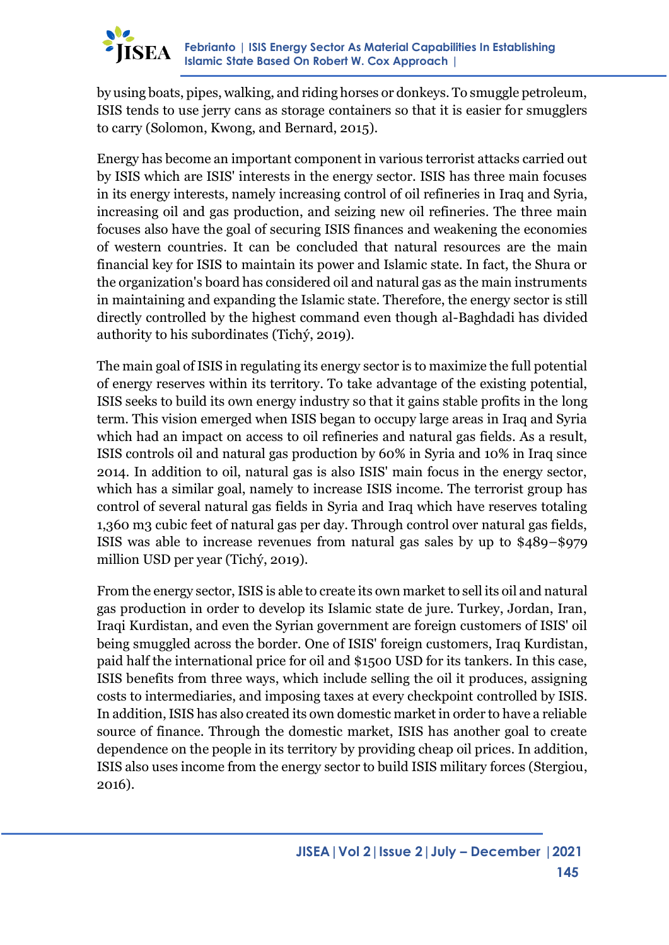

by using boats, pipes, walking, and riding horses or donkeys. To smuggle petroleum, ISIS tends to use jerry cans as storage containers so that it is easier for smugglers to carry (Solomon, Kwong, and Bernard, 2015).

Energy has become an important component in various terrorist attacks carried out by ISIS which are ISIS' interests in the energy sector. ISIS has three main focuses in its energy interests, namely increasing control of oil refineries in Iraq and Syria, increasing oil and gas production, and seizing new oil refineries. The three main focuses also have the goal of securing ISIS finances and weakening the economies of western countries. It can be concluded that natural resources are the main financial key for ISIS to maintain its power and Islamic state. In fact, the Shura or the organization's board has considered oil and natural gas as the main instruments in maintaining and expanding the Islamic state. Therefore, the energy sector is still directly controlled by the highest command even though al-Baghdadi has divided authority to his subordinates (Tichý, 2019).

The main goal of ISIS in regulating its energy sector is to maximize the full potential of energy reserves within its territory. To take advantage of the existing potential, ISIS seeks to build its own energy industry so that it gains stable profits in the long term. This vision emerged when ISIS began to occupy large areas in Iraq and Syria which had an impact on access to oil refineries and natural gas fields. As a result, ISIS controls oil and natural gas production by 60% in Syria and 10% in Iraq since 2014. In addition to oil, natural gas is also ISIS' main focus in the energy sector, which has a similar goal, namely to increase ISIS income. The terrorist group has control of several natural gas fields in Syria and Iraq which have reserves totaling 1,360 m3 cubic feet of natural gas per day. Through control over natural gas fields, ISIS was able to increase revenues from natural gas sales by up to \$489–\$979 million USD per year (Tichý, 2019).

From the energy sector, ISIS is able to create its own market to sell its oil and natural gas production in order to develop its Islamic state de jure. Turkey, Jordan, Iran, Iraqi Kurdistan, and even the Syrian government are foreign customers of ISIS' oil being smuggled across the border. One of ISIS' foreign customers, Iraq Kurdistan, paid half the international price for oil and \$1500 USD for its tankers. In this case, ISIS benefits from three ways, which include selling the oil it produces, assigning costs to intermediaries, and imposing taxes at every checkpoint controlled by ISIS. In addition, ISIS has also created its own domestic market in order to have a reliable source of finance. Through the domestic market, ISIS has another goal to create dependence on the people in its territory by providing cheap oil prices. In addition, ISIS also uses income from the energy sector to build ISIS military forces (Stergiou, 2016).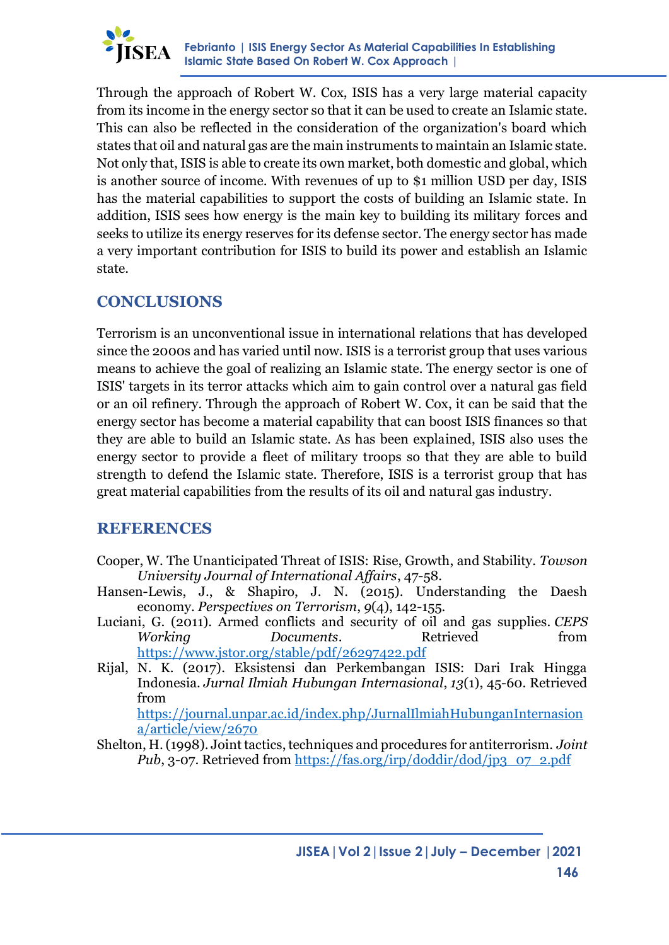

Through the approach of Robert W. Cox, ISIS has a very large material capacity from its income in the energy sector so that it can be used to create an Islamic state. This can also be reflected in the consideration of the organization's board which states that oil and natural gas are the main instruments to maintain an Islamic state. Not only that, ISIS is able to create its own market, both domestic and global, which is another source of income. With revenues of up to \$1 million USD per day, ISIS has the material capabilities to support the costs of building an Islamic state. In addition, ISIS sees how energy is the main key to building its military forces and seeks to utilize its energy reserves for its defense sector. The energy sector has made a very important contribution for ISIS to build its power and establish an Islamic state.

## **CONCLUSIONS**

Terrorism is an unconventional issue in international relations that has developed since the 2000s and has varied until now. ISIS is a terrorist group that uses various means to achieve the goal of realizing an Islamic state. The energy sector is one of ISIS' targets in its terror attacks which aim to gain control over a natural gas field or an oil refinery. Through the approach of Robert W. Cox, it can be said that the energy sector has become a material capability that can boost ISIS finances so that they are able to build an Islamic state. As has been explained, ISIS also uses the energy sector to provide a fleet of military troops so that they are able to build strength to defend the Islamic state. Therefore, ISIS is a terrorist group that has great material capabilities from the results of its oil and natural gas industry.

### **REFERENCES**

- Cooper, W. The Unanticipated Threat of ISIS: Rise, Growth, and Stability. *Towson University Journal of International Affairs*, 47-58.
- Hansen-Lewis, J., & Shapiro, J. N. (2015). Understanding the Daesh economy. *Perspectives on Terrorism*, *9*(4), 142-155.
- Luciani, G. (2011). Armed conflicts and security of oil and gas supplies. *CEPS Working Documents*. Retrieved from <https://www.jstor.org/stable/pdf/26297422.pdf>
- Rijal, N. K. (2017). Eksistensi dan Perkembangan ISIS: Dari Irak Hingga Indonesia. *Jurnal Ilmiah Hubungan Internasional*, *13*(1), 45-60. Retrieved from

[https://journal.unpar.ac.id/index.php/JurnalIlmiahHubunganInternasion](https://journal.unpar.ac.id/index.php/JurnalIlmiahHubunganInternasiona/article/view/2670) [a/article/view/2670](https://journal.unpar.ac.id/index.php/JurnalIlmiahHubunganInternasiona/article/view/2670)

Shelton, H. (1998). Joint tactics, techniques and procedures for antiterrorism. *Joint Pub*, 3-07. Retrieved from [https://fas.org/irp/doddir/dod/jp3\\_07\\_2.pdf](https://fas.org/irp/doddir/dod/jp3_07_2.pdf)